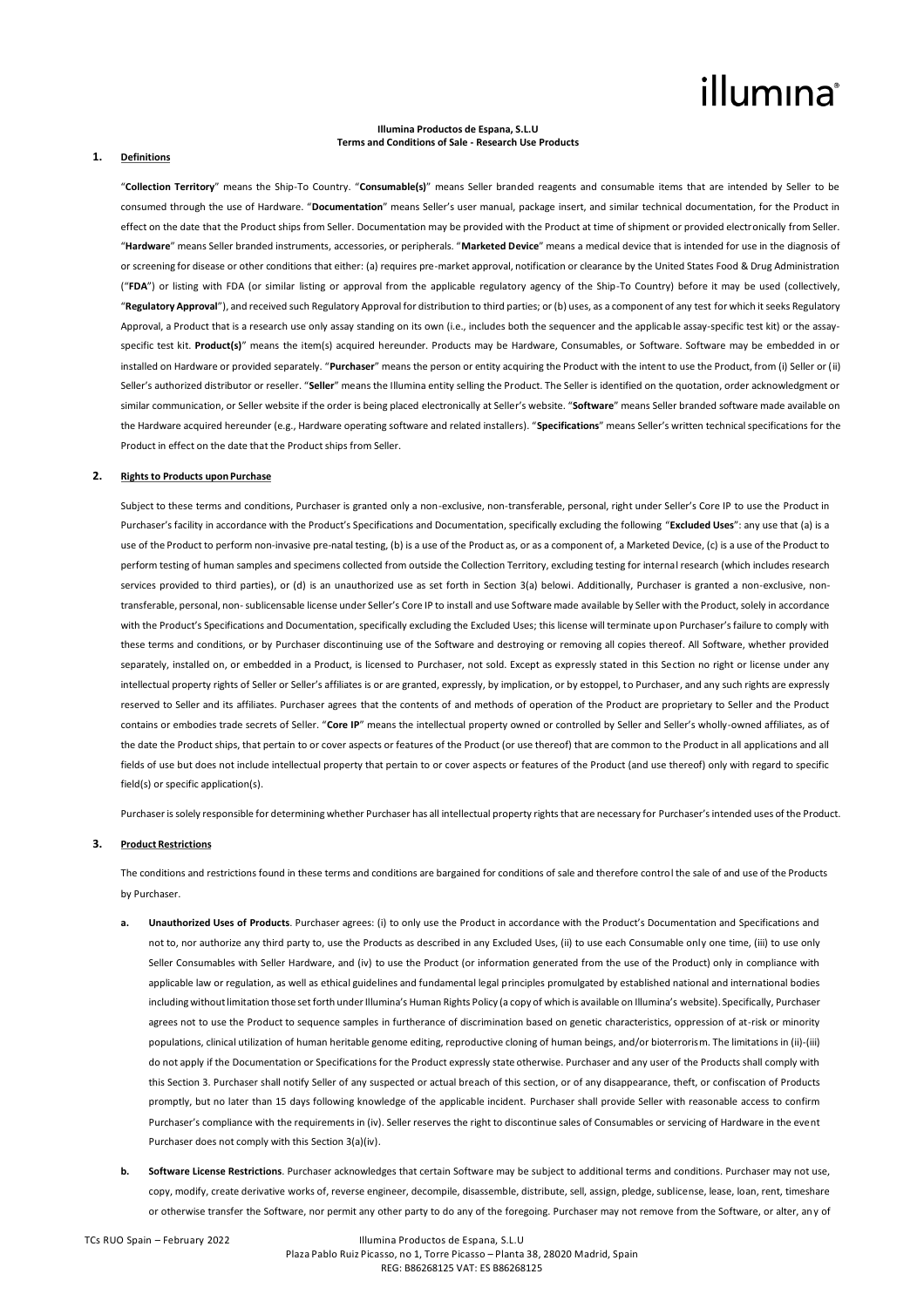# illumına

#### **Illumina Productos de Espana, S.L.U Terms and Conditions of Sale - Research Use Products**

#### **1. Definitions**

"**Collection Territory**" means the Ship-To Country. "**Consumable(s)**" means Seller branded reagents and consumable items that are intended by Seller to be consumed through the use of Hardware. "**Documentation**" means Seller's user manual, package insert, and similar technical documentation, for the Product in effect on the date that the Product ships from Seller. Documentation may be provided with the Product at time of shipment or provided electronically from Seller. "**Hardware**" means Seller branded instruments, accessories, or peripherals. "**Marketed Device**" means a medical device that is intended for use in the diagnosis of or screening for disease or other conditions that either: (a) requires pre-market approval, notification or clearance by the United States Food & Drug Administration ("**FDA**") or listing with FDA (or similar listing or approval from the applicable regulatory agency of the Ship-To Country) before it may be used (collectively, "**Regulatory Approval**"), and received such Regulatory Approval for distribution to third parties; or (b) uses, as a component of any test for which it seeks Regulatory Approval, a Product that is a research use only assay standing on its own (i.e., includes both the sequencer and the applicable assay-specific test kit) or the assayspecific test kit. **Product(s)**" means the item(s) acquired hereunder. Products may be Hardware, Consumables, or Software. Software may be embedded in or installed on Hardware or provided separately. "**Purchaser**" means the person or entity acquiring the Product with the intent to use the Product, from (i) Seller or (ii) Seller's authorized distributor or reseller. "**Seller**" means the Illumina entity selling the Product. The Seller is identified on the quotation, order acknowledgment or similar communication, or Seller website if the order is being placed electronically at Seller's website. "**Software**" means Seller branded software made available on the Hardware acquired hereunder (e.g., Hardware operating software and related installers). "**Specifications**" means Seller's written technical specifications for the Product in effect on the date that the Product ships from Seller.

### **2. Rights to Products upon Purchase**

Subject to these terms and conditions, Purchaser is granted only a non-exclusive, non-transferable, personal, right under Seller's Core IP to use the Product in Purchaser's facility in accordance with the Product's Specifications and Documentation, specifically excluding the following "**Excluded Uses**": any use that (a) is a use of the Product to perform non-invasive pre-natal testing, (b) is a use of the Product as, or as a component of, a Marketed Device, (c) is a use of the Product to perform testing of human samples and specimens collected from outside the Collection Territory, excluding testing for internal research (which includes research services provided to third parties), or (d) is an unauthorized use as set forth in Section 3(a) belowi. Additionally, Purchaser is granted a non-exclusive, nontransferable, personal, non-sublicensable license under Seller's Core IP to install and use Software made available by Seller with the Product, solely in accordance with the Product's Specifications and Documentation, specifically excluding the Excluded Uses; this license will terminate upon Purchaser's failure to comply with these terms and conditions, or by Purchaser discontinuing use of the Software and destroying or removing all copies thereof. All Software, whether provided separately, installed on, or embedded in a Product, is licensed to Purchaser, not sold. Except as expressly stated in this Section no right or license under any intellectual property rights of Seller or Seller's affiliates is or are granted, expressly, by implication, or by estoppel, to Purchaser, and any such rights are expressly reserved to Seller and its affiliates. Purchaser agrees that the contents of and methods of operation of the Product are proprietary to Seller and the Product contains or embodies trade secrets of Seller. "**Core IP**" means the intellectual property owned or controlled by Seller and Seller's wholly-owned affiliates, as of the date the Product ships, that pertain to or cover aspects or features of the Product (or use thereof) that are common to the Product in all applications and all fields of use but does not include intellectual property that pertain to or cover aspects or features of the Product (and use thereof) only with regard to specific field(s) or specific application(s).

Purchaser is solely responsible for determining whether Purchaser has all intellectual property rights that are necessary for Purchaser's intended uses of the Product.

#### **3. Product Restrictions**

The conditions and restrictions found in these terms and conditions are bargained for conditions of sale and therefore control the sale of and use of the Products by Purchaser.

- **a. Unauthorized Uses of Products**. Purchaser agrees: (i) to only use the Product in accordance with the Product's Documentation and Specifications and not to, nor authorize any third party to, use the Products as described in any Excluded Uses, (ii) to use each Consumable only one time, (iii) to use only Seller Consumables with Seller Hardware, and (iv) to use the Product (or information generated from the use of the Product) only in compliance with applicable law or regulation, as well as ethical guidelines and fundamental legal principles promulgated by established national and international bodies including without limitation those set forth under Illumina's Human Rights Policy (a copy of which is available on Illumina's website). Specifically, Purchaser agrees not to use the Product to sequence samples in furtherance of discrimination based on genetic characteristics, oppression of at-risk or minority populations, clinical utilization of human heritable genome editing, reproductive cloning of human beings, and/or bioterrorism. The limitations in (ii)-(iii) do not apply if the Documentation or Specifications for the Product expressly state otherwise. Purchaser and any user of the Products shall comply with this Section 3. Purchaser shall notify Seller of any suspected or actual breach of this section, or of any disappearance, theft, or confiscation of Products promptly, but no later than 15 days following knowledge of the applicable incident. Purchaser shall provide Seller with reasonable access to confirm Purchaser's compliance with the requirements in (iv). Seller reserves the right to discontinue sales of Consumables or servicing of Hardware in the event Purchaser does not comply with this Section 3(a)(iv).
- **b. Software License Restrictions**. Purchaser acknowledges that certain Software may be subject to additional terms and conditions. Purchaser may not use, copy, modify, create derivative works of, reverse engineer, decompile, disassemble, distribute, sell, assign, pledge, sublicense, lease, loan, rent, timeshare or otherwise transfer the Software, nor permit any other party to do any of the foregoing. Purchaser may not remove from the Software, or alter, any of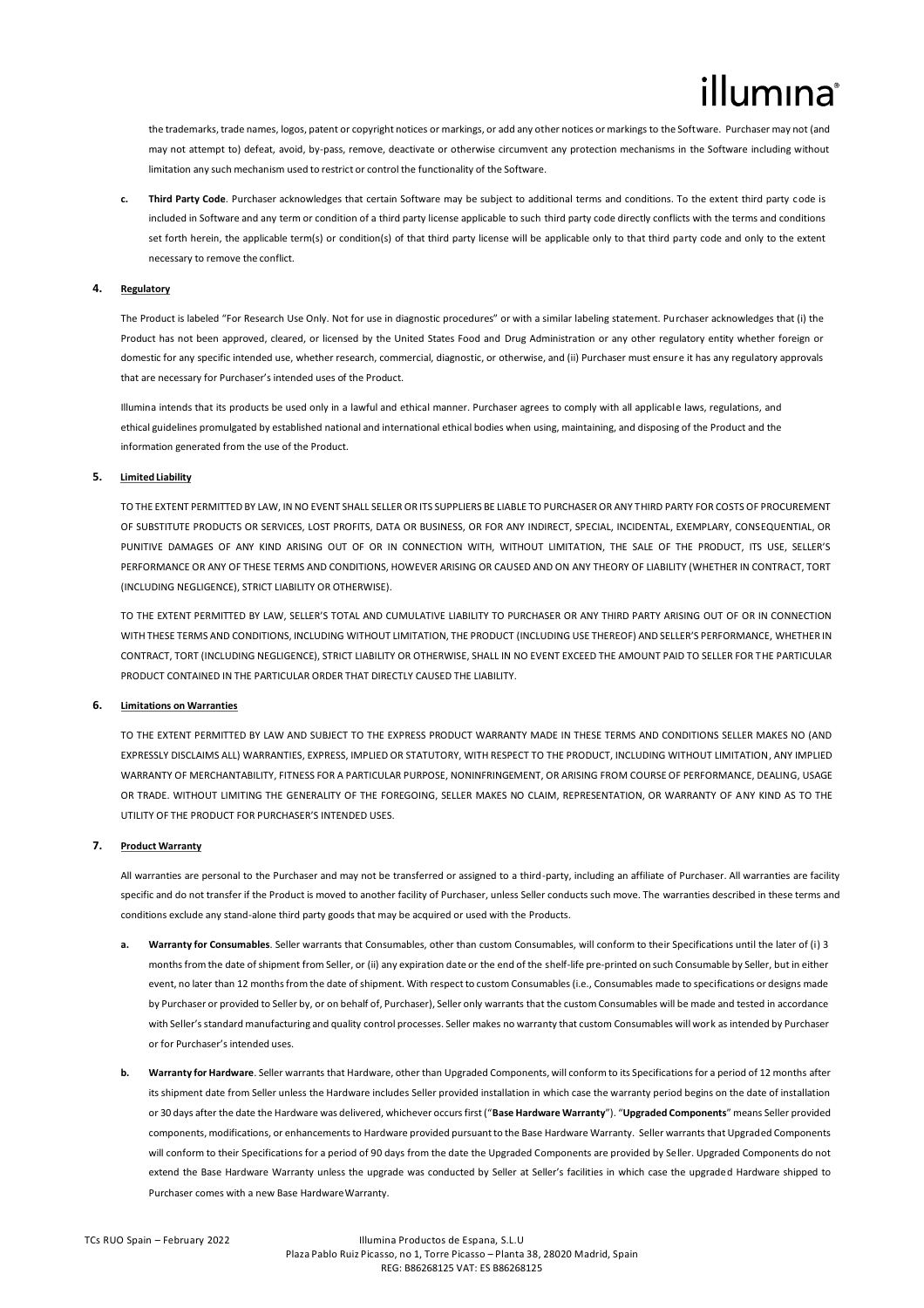the trademarks, trade names, logos, patent or copyright notices or markings, or add any other notices or markings to the Software. Purchaser may not (and may not attempt to) defeat, avoid, by-pass, remove, deactivate or otherwise circumvent any protection mechanisms in the Software including without limitation any such mechanism used to restrict or control the functionality of the Software.

**c. Third Party Code**. Purchaser acknowledges that certain Software may be subject to additional terms and conditions. To the extent third party code is included in Software and any term or condition of a third party license applicable to such third party code directly conflicts with the terms and conditions set forth herein, the applicable term(s) or condition(s) of that third party license will be applicable only to that third party code and only to the extent necessary to remove the conflict.

### **4. Regulatory**

The Product is labeled "For Research Use Only. Not for use in diagnostic procedures" or with a similar labeling statement. Purchaser acknowledges that (i) the Product has not been approved, cleared, or licensed by the United States Food and Drug Administration or any other regulatory entity whether foreign or domestic for any specific intended use, whether research, commercial, diagnostic, or otherwise, and (ii) Purchaser must ensure it has any regulatory approvals that are necessary for Purchaser's intended uses of the Product.

Illumina intends that its products be used only in a lawful and ethical manner. Purchaser agrees to comply with all applicable laws, regulations, and ethical guidelines promulgated by established national and international ethical bodies when using, maintaining, and disposing of the Product and the information generated from the use of the Product.

#### **5. Limited Liability**

TO THE EXTENT PERMITTED BY LAW, IN NO EVENT SHALL SELLER OR ITS SUPPLIERS BE LIABLE TO PURCHASER OR ANY THIRD PARTY FOR COSTS OF PROCUREMENT OF SUBSTITUTE PRODUCTS OR SERVICES, LOST PROFITS, DATA OR BUSINESS, OR FOR ANY INDIRECT, SPECIAL, INCIDENTAL, EXEMPLARY, CONSEQUENTIAL, OR PUNITIVE DAMAGES OF ANY KIND ARISING OUT OF OR IN CONNECTION WITH, WITHOUT LIMITATION, THE SALE OF THE PRODUCT, ITS USE, SELLER'S PERFORMANCE OR ANY OF THESE TERMS AND CONDITIONS, HOWEVER ARISING OR CAUSED AND ON ANY THEORY OF LIABILITY (WHETHER IN CONTRACT, TORT (INCLUDING NEGLIGENCE), STRICT LIABILITY OR OTHERWISE).

TO THE EXTENT PERMITTED BY LAW, SELLER'S TOTAL AND CUMULATIVE LIABILITY TO PURCHASER OR ANY THIRD PARTY ARISING OUT OF OR IN CONNECTION WITH THESE TERMS AND CONDITIONS, INCLUDING WITHOUT LIMITATION, THE PRODUCT (INCLUDING USE THEREOF) AND SELLER'S PERFORMANCE, WHETHER IN CONTRACT, TORT (INCLUDING NEGLIGENCE), STRICT LIABILITY OR OTHERWISE, SHALL IN NO EVENT EXCEED THE AMOUNT PAID TO SELLER FOR THE PARTICULAR PRODUCT CONTAINED IN THE PARTICULAR ORDER THAT DIRECTLY CAUSED THE LIABILITY.

# **6. Limitations on Warranties**

TO THE EXTENT PERMITTED BY LAW AND SUBJECT TO THE EXPRESS PRODUCT WARRANTY MADE IN THESE TERMS AND CONDITIONS SELLER MAKES NO (AND EXPRESSLY DISCLAIMS ALL) WARRANTIES, EXPRESS, IMPLIED OR STATUTORY, WITH RESPECT TO THE PRODUCT, INCLUDING WITHOUT LIMITATION, ANY IMPLIED WARRANTY OF MERCHANTABILITY, FITNESS FOR A PARTICULAR PURPOSE, NONINFRINGEMENT, OR ARISING FROM COURSE OF PERFORMANCE, DEALING, USAGE OR TRADE. WITHOUT LIMITING THE GENERALITY OF THE FOREGOING, SELLER MAKES NO CLAIM, REPRESENTATION, OR WARRANTY OF ANY KIND AS TO THE UTILITY OF THE PRODUCT FOR PURCHASER'S INTENDED USES.

## **7. Product Warranty**

All warranties are personal to the Purchaser and may not be transferred or assigned to a third-party, including an affiliate of Purchaser. All warranties are facility specific and do not transfer if the Product is moved to another facility of Purchaser, unless Seller conducts such move. The warranties described in these terms and conditions exclude any stand-alone third party goods that may be acquired or used with the Products.

- **a. Warranty for Consumables**. Seller warrants that Consumables, other than custom Consumables, will conform to their Specifications until the later of (i) 3 months from the date of shipment from Seller, or (ii) any expiration date or the end of the shelf-life pre-printed on such Consumable by Seller, but in either event, no later than 12 months from the date of shipment. With respect to custom Consumables (i.e., Consumables made to specifications or designs made by Purchaser or provided to Seller by, or on behalf of, Purchaser), Seller only warrants that the custom Consumables will be made and tested in accordance with Seller's standard manufacturing and quality control processes. Seller makes no warranty that custom Consumables will work as intended by Purchaser or for Purchaser's intended uses.
- **b. Warranty for Hardware**. Seller warrants that Hardware, other than Upgraded Components, will conform to its Specifications for a period of 12 months after its shipment date from Seller unless the Hardware includes Seller provided installation in which case the warranty period begins on the date of installation or 30 days after the date the Hardware was delivered, whichever occurs first ("**Base Hardware Warranty**"). "**Upgraded Components**" means Seller provided components, modifications, or enhancements to Hardware provided pursuant to the Base Hardware Warranty. Seller warrants that Upgraded Components will conform to their Specifications for a period of 90 days from the date the Upgraded Components are provided by Seller. Upgraded Components do not extend the Base Hardware Warranty unless the upgrade was conducted by Seller at Seller's facilities in which case the upgraded Hardware shipped to Purchaser comes with a new Base Hardware Warranty.

#### TCs RUO Spain – February 2022 Illumina Productos de Espana, S.L.U Plaza Pablo Ruiz Picasso, no 1, Torre Picasso – Planta 38, 28020 Madrid, Spain REG: B86268125 VAT: ES B86268125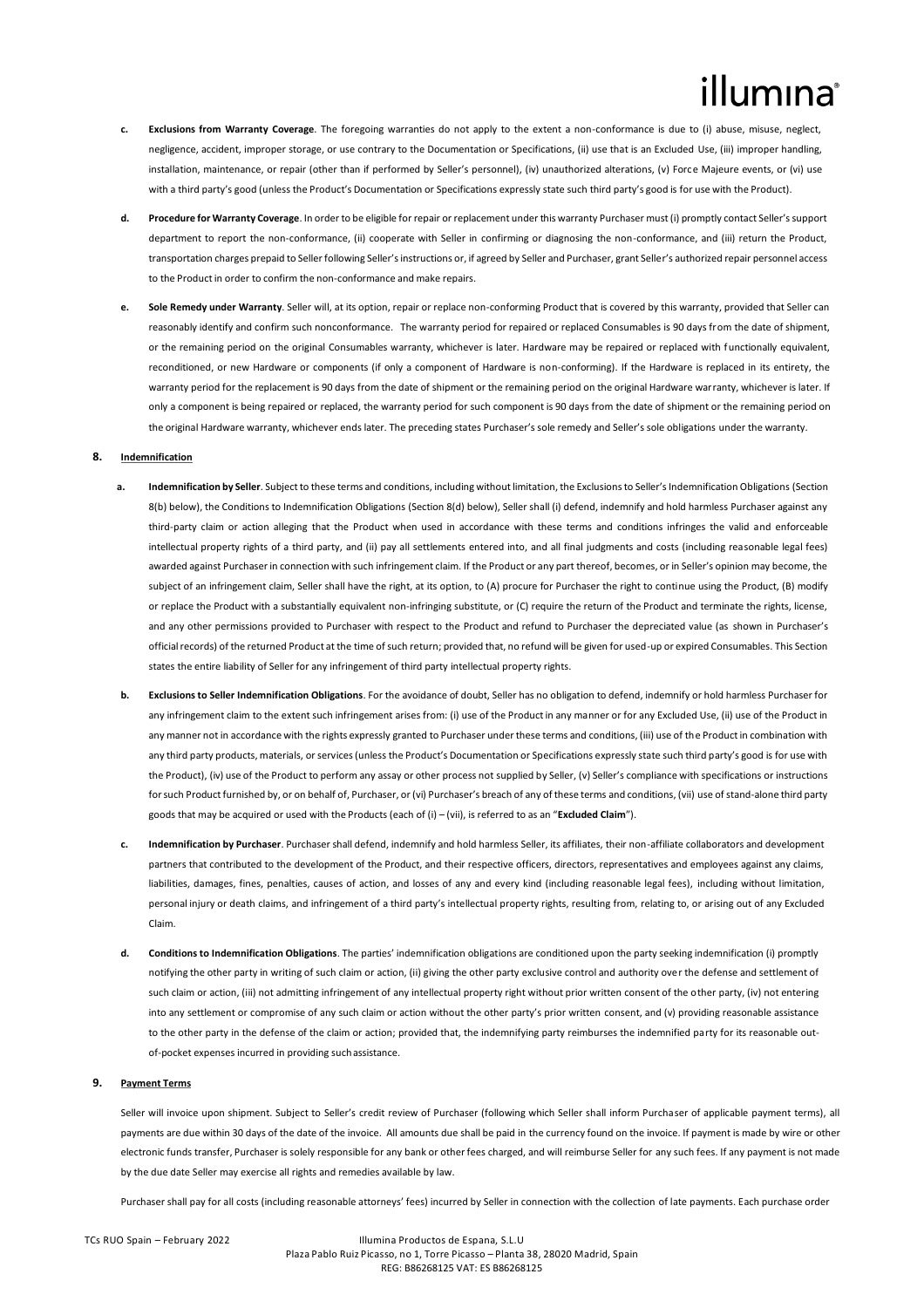# lumına

- **c. Exclusions from Warranty Coverage**. The foregoing warranties do not apply to the extent a non-conformance is due to (i) abuse, misuse, neglect, negligence, accident, improper storage, or use contrary to the Documentation or Specifications, (ii) use that is an Excluded Use, (iii) improper handling, installation, maintenance, or repair (other than if performed by Seller's personnel), (iv) unauthorized alterations, (v) Force Majeure events, or (vi) use with a third party's good (unless the Product's Documentation or Specifications expressly state such third party's good is for use with the Product).
- **d. Procedure for Warranty Coverage**. In order to be eligible for repair or replacement under this warranty Purchaser must (i) promptly contact Seller's support department to report the non-conformance, (ii) cooperate with Seller in confirming or diagnosing the non-conformance, and (iii) return the Product, transportation charges prepaid to Seller following Seller's instructions or, if agreed by Seller and Purchaser, grant Seller's authorized repair personnel access to the Product in order to confirm the non-conformance and make repairs.
- **e. Sole Remedy under Warranty**. Seller will, at its option, repair or replace non-conforming Product that is covered by this warranty, provided that Seller can reasonably identify and confirm such nonconformance. The warranty period for repaired or replaced Consumables is 90 days from the date of shipment, or the remaining period on the original Consumables warranty, whichever is later. Hardware may be repaired or replaced with functionally equivalent, reconditioned, or new Hardware or components (if only a component of Hardware is non-conforming). If the Hardware is replaced in its entirety, the warranty period for the replacement is 90 days from the date of shipment or the remaining period on the original Hardware warranty, whichever is later. If only a component is being repaired or replaced, the warranty period for such component is 90 days from the date of shipment or the remaining period on the original Hardware warranty, whichever ends later. The preceding states Purchaser's sole remedy and Seller's sole obligations under the warranty.

#### **8. Indemnification**

- **a. Indemnification by Seller**. Subject to these terms and conditions, including without limitation, the Exclusions to Seller's Indemnification Obligations (Section 8(b) below), the Conditions to Indemnification Obligations (Section 8(d) below), Seller shall (i) defend, indemnify and hold harmless Purchaser against any third-party claim or action alleging that the Product when used in accordance with these terms and conditions infringes the valid and enforceable intellectual property rights of a third party, and (ii) pay all settlements entered into, and all final judgments and costs (including reasonable legal fees) awarded against Purchaser in connection with such infringement claim. If the Product or any part thereof, becomes, or in Seller's opinion may become, the subject of an infringement claim, Seller shall have the right, at its option, to (A) procure for Purchaser the right to continue using the Product, (B) modify or replace the Product with a substantially equivalent non-infringing substitute, or (C) require the return of the Product and terminate the rights, license, and any other permissions provided to Purchaser with respect to the Product and refund to Purchaser the depreciated value (as shown in Purchaser's official records) of the returned Product at the time of such return; provided that, no refund will be given for used-up or expired Consumables. This Section states the entire liability of Seller for any infringement of third party intellectual property rights.
- **b. Exclusions to Seller Indemnification Obligations** For the avoidance of doubt, Seller has no obligation to defend, indemnify or hold harmless Purchaser for any infringement claim to the extent such infringement arises from: (i) use of the Product in any manner or for any Excluded Use, (ii) use of the Product in any manner not in accordance with the rights expressly granted to Purchaser under these terms and conditions, (iii) use of the Product in combination with any third party products, materials, or services (unless the Product's Documentation or Specifications expressly state such third party's good is for use with the Product), (iv) use of the Product to perform any assay or other process not supplied by Seller, (v) Seller's compliance with specifications or instructions for such Product furnished by, or on behalf of, Purchaser, or (vi) Purchaser's breach of any of these terms and conditions, (vii) use of stand-alone third party goods that may be acquired or used with the Products (each of (i) – (vii), is referred to as an "**Excluded Claim**").
- **c. Indemnification by Purchaser**. Purchaser shall defend, indemnify and hold harmless Seller, its affiliates, their non-affiliate collaborators and development partners that contributed to the development of the Product, and their respective officers, directors, representatives and employees against any claims, liabilities, damages, fines, penalties, causes of action, and losses of any and every kind (including reasonable legal fees), including without limitation, personal injury or death claims, and infringement of a third party's intellectual property rights, resulting from, relating to, or arising out of any Excluded Claim.
- **d. Conditions to Indemnification Obligations**. The parties' indemnification obligations are conditioned upon the party seeking indemnification (i) promptly notifying the other party in writing of such claim or action, (ii) giving the other party exclusive control and authority over the defense and settlement of such claim or action, (iii) not admitting infringement of any intellectual property right without prior written consent of the other party, (iv) not entering into any settlement or compromise of any such claim or action without the other party's prior written consent, and (v) providing reasonable assistance to the other party in the defense of the claim or action; provided that, the indemnifying party reimburses the indemnified party for its reasonable outof-pocket expenses incurred in providing suchassistance.

## **9. Payment Terms**

Seller will invoice upon shipment. Subject to Seller's credit review of Purchaser (following which Seller shall inform Purchaser of applicable payment terms), all payments are due within 30 days of the date of the invoice. All amounts due shall be paid in the currency found on the invoice. If payment is made by wire or other electronic funds transfer, Purchaser is solely responsible for any bank or other fees charged, and will reimburse Seller for any such fees. If any payment is not made by the due date Seller may exercise all rights and remedies available by law.

Purchaser shall pay for all costs (including reasonable attorneys' fees) incurred by Seller in connection with the collection of late payments. Each purchase order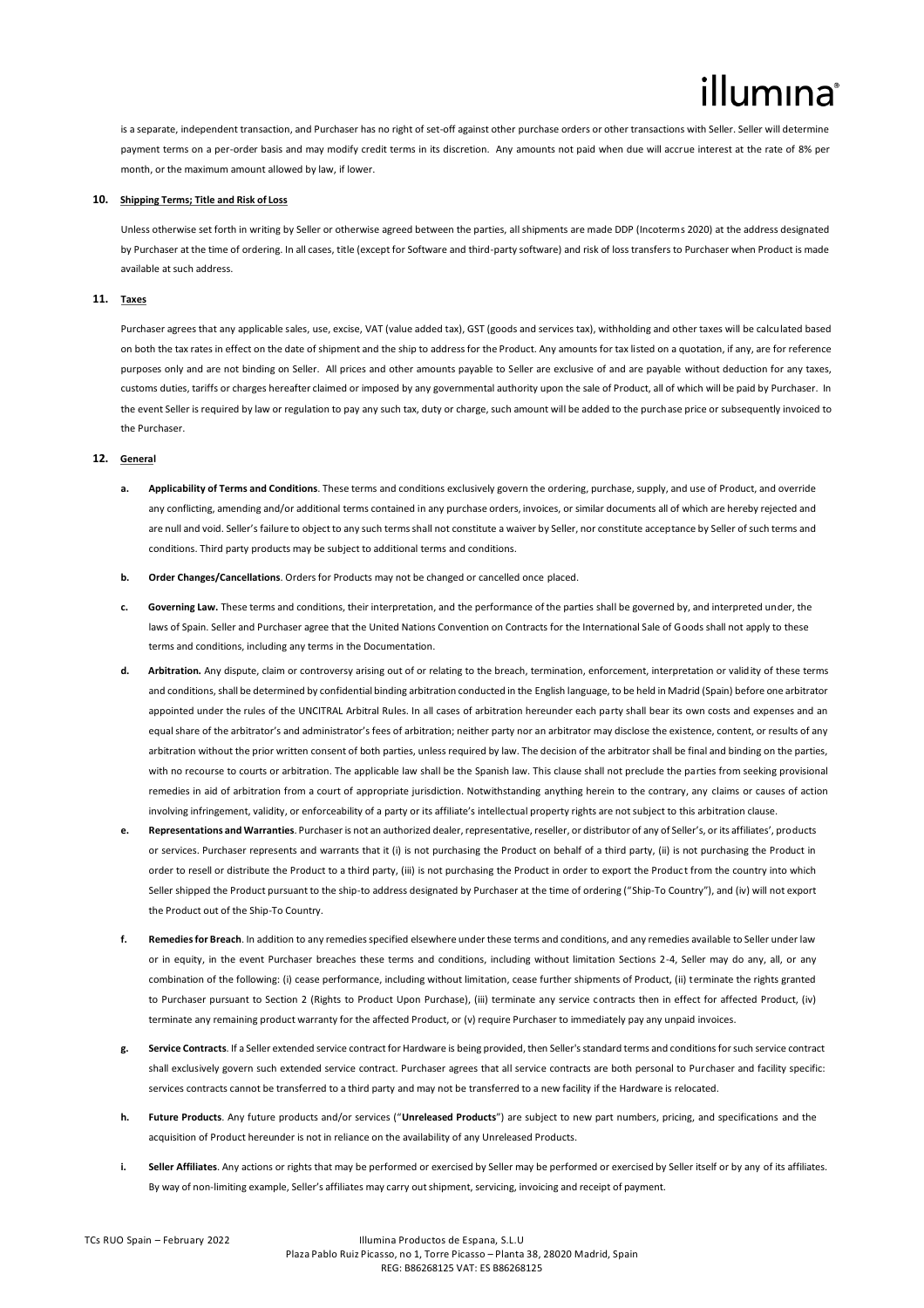# lumına

is a separate, independent transaction, and Purchaser has no right of set-off against other purchase orders or other transactions with Seller. Seller will determine payment terms on a per-order basis and may modify credit terms in its discretion. Any amounts not paid when due will accrue interest at the rate of 8% per month, or the maximum amount allowed by law, if lower.

#### **10. Shipping Terms; Title and Risk of Loss**

Unless otherwise set forth in writing by Seller or otherwise agreed between the parties, all shipments are made DDP (Incoterms 2020) at the address designated by Purchaser at the time of ordering. In all cases, title (except for Software and third-party software) and risk of loss transfers to Purchaser when Product is made available at such address.

# **11. Taxes**

Purchaser agrees that any applicable sales, use, excise, VAT (value added tax), GST (goods and services tax), withholding and other taxes will be calculated based on both the tax rates in effect on the date of shipment and the ship to address for the Product. Any amounts for tax listed on a quotation, if any, are for reference purposes only and are not binding on Seller. All prices and other amounts payable to Seller are exclusive of and are payable without deduction for any taxes, customs duties, tariffs or charges hereafter claimed or imposed by any governmental authority upon the sale of Product, all of which will be paid by Purchaser. In the event Seller is required by law or regulation to pay any such tax, duty or charge, such amount will be added to the purchase price or subsequently invoiced to the Purchaser.

### **12. General**

- **a. Applicability of Terms and Conditions**. These terms and conditions exclusively govern the ordering, purchase, supply, and use of Product, and override any conflicting, amending and/or additional terms contained in any purchase orders, invoices, or similar documents all of which are hereby rejected and are null and void. Seller's failure to object to any such terms shall not constitute a waiver by Seller, nor constitute acceptance by Seller of such terms and conditions. Third party products may be subject to additional terms and conditions.
- **b. Order Changes/Cancellations**. Orders for Products may not be changed or cancelled once placed.
- **c. Governing Law.** These terms and conditions, their interpretation, and the performance of the parties shall be governed by, and interpreted under, the laws of Spain. Seller and Purchaser agree that the United Nations Convention on Contracts for the International Sale of Goods shall not apply to these terms and conditions, including any terms in the Documentation.
- **d. Arbitration.** Any dispute, claim or controversy arising out of or relating to the breach, termination, enforcement, interpretation or validity of these terms and conditions, shall be determined by confidential binding arbitration conducted in the English language, to be held in Madrid (Spain) before one arbitrator appointed under the rules of the UNCITRAL Arbitral Rules. In all cases of arbitration hereunder each party shall bear its own costs and expenses and an equal share of the arbitrator's and administrator's fees of arbitration; neither party nor an arbitrator may disclose the existence, content, or results of any arbitration without the prior written consent of both parties, unless required by law. The decision of the arbitrator shall be final and binding on the parties, with no recourse to courts or arbitration. The applicable law shall be the Spanish law. This clause shall not preclude the parties from seeking provisional remedies in aid of arbitration from a court of appropriate jurisdiction. Notwithstanding anything herein to the contrary, any claims or causes of action involving infringement, validity, or enforceability of a party or its affiliate's intellectual property rights are not subject to this arbitration clause.
- **e. Representations and Warranties**. Purchaser is not an authorized dealer, representative, reseller, or distributor of any of Seller's, or its affiliates', products or services. Purchaser represents and warrants that it (i) is not purchasing the Product on behalf of a third party, (ii) is not purchasing the Product in order to resell or distribute the Product to a third party, (iii) is not purchasing the Product in order to export the Product from the country into which Seller shipped the Product pursuant to the ship-to address designated by Purchaser at the time of ordering ("Ship-To Country"), and (iv) will not export the Product out of the Ship-To Country.
- **f. Remedies for Breach**. In addition to any remedies specified elsewhere under these terms and conditions, and any remedies available to Seller under law or in equity, in the event Purchaser breaches these terms and conditions, including without limitation Sections 2-4, Seller may do any, all, or any combination of the following: (i) cease performance, including without limitation, cease further shipments of Product, (ii) terminate the rights granted to Purchaser pursuant to Section 2 (Rights to Product Upon Purchase), (iii) terminate any service contracts then in effect for affected Product, (iv) terminate any remaining product warranty for the affected Product, or (v) require Purchaser to immediately pay any unpaid invoices.
- **g. Service Contracts**. If a Seller extended service contract for Hardware is being provided, then Seller's standard terms and conditions for such service contract shall exclusively govern such extended service contract. Purchaser agrees that all service contracts are both personal to Purchaser and facility specific: services contracts cannot be transferred to a third party and may not be transferred to a new facility if the Hardware is relocated.
- **h. Future Products**. Any future products and/or services ("**Unreleased Products**") are subject to new part numbers, pricing, and specifications and the acquisition of Product hereunder is not in reliance on the availability of any Unreleased Products.
- **i. Seller Affiliates**. Any actions or rights that may be performed or exercised by Seller may be performed or exercised by Seller itself or by any of its affiliates. By way of non-limiting example, Seller's affiliates may carry outshipment, servicing, invoicing and receipt of payment.